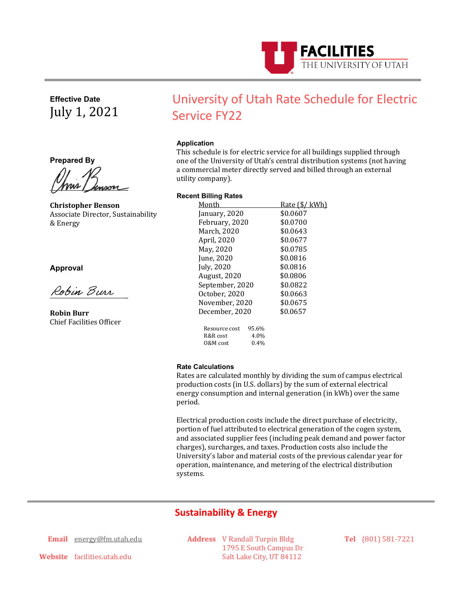

**Effective Date** July 1, 2021

**Prepared By**

<u>Mour Geneve</u>

**Christopher Benson** Associate Director, Sustainability & Energy

# **Approval**

 $\frac{1}{2}$ 

**Robin Burr** Chief Facilities Officer

# University of Utah Rate Schedule for Electric Service FY22

# **Application**

This schedule is for electric service for all buildings supplied through one of the University of Utah's central distribution systems (not having a commercial meter directly served and billed through an external utility company).

### **Recent Billing Rates**

| Month           | <u>Rate (\$/ kWh)</u> |
|-----------------|-----------------------|
| January, 2020   | \$0.0607              |
| February, 2020  | \$0.0700              |
| March, 2020     | \$0.0643              |
| April, 2020     | \$0.0677              |
| May, 2020       | \$0.0785              |
| June, 2020      | \$0.0816              |
| July, 2020      | \$0.0816              |
| August, 2020    | \$0.0806              |
| September, 2020 | \$0.0822              |
| October, 2020   | \$0.0663              |
| November, 2020  | \$0.0675              |
| December, 2020  | \$0.0657              |
| Resource cost   | 95.6%                 |
| R&R cost        | 4.0%                  |
| 0&M cost        | $0.4\%$               |

### **Rate Calculations**

Rates are calculated monthly by dividing the sum of campus electrical production costs (in U.S. dollars) by the sum of external electrical energy consumption and internal generation (in kWh) over the same period.

Electrical production costs include the direct purchase of electricity, portion of fuel attributed to electrical generation of the cogen system, and associated supplier fees (including peak demand and power factor charges), surcharges, and taxes. Production costs also include the University's labor and material costs of the previous calendar year for operation, maintenance, and metering of the electrical distribution systems.

# **Sustainability & Energy**

**Email** [energy@fm.utah.edu](mailto:energy@fm.utah.edu)

**Address** V Randall Turpin Bldg 1795 E South Campus Dr Salt Lake City, UT 84112

**Tel** (801) 581-7221

**Website** facilities.utah.edu